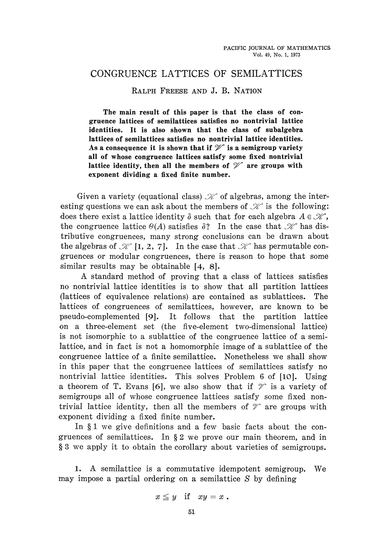## CONGRUENCE LATTICES OF SEMILATTICES

## **RALPH FREESE AND J. B. NATION**

**The main result of this paper is that the class of con gruence lattices of semilattices satisfies no nontrivial lattice identities. It is also shown that the class of subalgebra lattices of semilattices satisfies no nontrivial lattice identities.** As a consequence it is shown that if  $\mathcal V$  is a semigroup variety **all of whose congruence lattices satisfy some fixed nontrivial** lattice identity, then all the members of  $\mathcal V$  are groups with **exponent dividing a fixed finite number.**

Given a variety (equational class)  $\mathcal X$  of algebras, among the interesting questions we can ask about the members of  $\mathscr X$  is the following: does there exist a lattice identity *δ* such that for each algebra *A e S?~,* the congruence lattice  $\Theta(A)$  satisfies  $\delta$ ? In the case that  $\mathscr K$  has distributive congruences, many strong conclusions can be drawn about the algebras of *J%Γ* [1, 2, 7]. In the case that *3ίΓ* has permutable con gruences or modular congruences, there is reason to hope that some similar results may be obtainable [4, 8].

A standard method of proving that a class of lattices satisfies no nontrivial lattice identities is to show that all partition lattices (lattices of equivalence relations) are contained as sublattices. The lattices of congruences of semilattices, however, are known to be pseudo-complemented [9]. It follows that the partition lattice on a three-element set (the five-element two-dimensional lattice) is not isomorphic to a sublattice of the congruence lattice of a semi lattice, and in fact is not a homomorphic image of a sublattice of the congruence lattice of a finite semilattice. Nonetheless we shall show in this paper that the congruence lattices of semilattices satisfy no nontrivial lattice identities. This solves Problem 6 of [10]. Using a theorem of T. Evans [6], we also show that if *ψ\** is a variety of semigroups all of whose congruence lattices satisfy some fixed nontrivial lattice identity, then all the members of  $\mathcal V$  are groups with exponent dividing a fixed finite number.

In § 1 we give definitions and a few basic facts about the congruences of semilattices. In § 2 we prove our main theorem, and in § 3 we apply it to obtain the corollary about varieties of semigroups.

1. A semilattice is a commutative idempotent semigroup. We may impose a partial ordering on a semilattice *S* by defining

$$
x \leq y \quad \text{if} \quad xy = x .
$$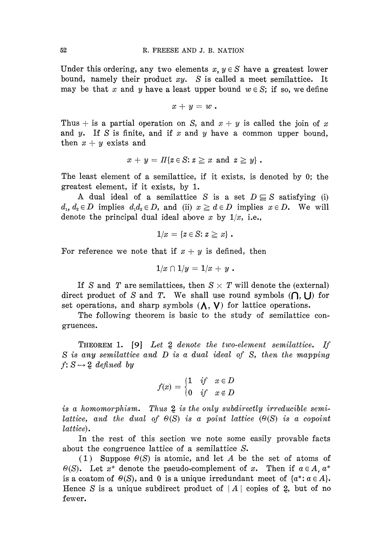Under this ordering, any two elements  $x, y \in S$  have a greatest lower bound, namely their product *xy. S* is called a meet semilattice. It may be that x and y have a least upper bound  $w \in S$ ; if so, we define

$$
x+y=w.
$$

Thus  $+$  is a partial operation on *S*, and  $x + y$  is called the join of x and y. If *S* is finite, and if *x* and *y* have a common upper bound, then  $x + y$  exists and

$$
x + y = \Pi\{z \in S : z \geq x \text{ and } z \geq y\}.
$$

The least element of a semilattice, if it exists, is denoted by 0; the greatest element, if it exists, by 1.

A dual ideal of a semilattice *S* is a set  $D \subseteq S$  satisfying (i)  $d_1, d_2 \in D$  implies  $d_1 d_2 \in D$ , and (ii)  $x \geq d \in D$  implies  $x \in D$ . We will denote the principal dual ideal above *x* by *1/x,* i.e.,

$$
1/x = \{z \in S : z \geq x\}.
$$

For reference we note that if  $x + y$  is defined, then

$$
1/x \cap 1/y = 1/x + y.
$$

If S and T are semilattices, then  $S \times T$  will denote the (external) direct product of *S* and *T*. We shall use round symbols  $($  $)$ ,  $\cup$  for set operations, and sharp symbols  $(\Lambda, V)$  for lattice operations.

The following theorem is basic to the study of semilattice congruences.

THEOREM 1. [9] *Let 2 denote the two-element semilattice. If S is any semilattice and D is a dual ideal of* S, *then the mapping*  $f: S \rightarrow 2$  *defined by* 

$$
f(x) = \begin{cases} 1 & \text{if} \quad x \in D \\ 0 & \text{if} \quad x \notin D \end{cases}
$$

*is a homomorphism. Thus* 2 *is the only subdirectly irreducible semilattice, and the dual of Θ(S) is a point lattice (Θ(S) is a copoint lattice).*

In the rest of this section we note some easily provable facts about the congruence lattice of a semilattice *S.*

(1) Suppose *θ(S)* is atomic, and let *A* be the set of atoms of *Θ(S).* Let *x\** denote the pseudo-complement of *x.* Then if *aeA,a\** is a coatom of  $\Theta(S)$ , and 0 is a unique irredundant meet of  $\{a^*: a \in A\}$ . Hence *S* is a unique subdirect product of  $|A|$  copies of 2, but of no fewer.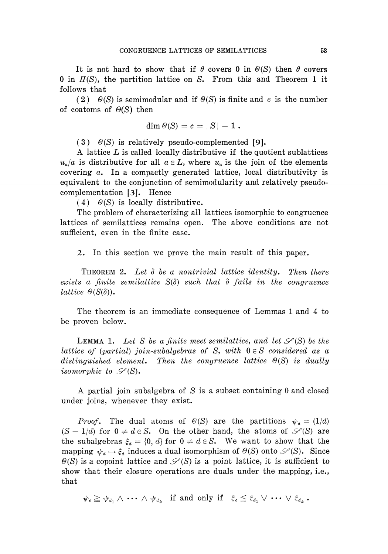It is not hard to show that if  $\theta$  covers 0 in  $\Theta(S)$  then  $\theta$  covers 0 in *Π(S),* the partition lattice on *S.* From this and Theorem 1 it follows that

(2)  $\Theta(S)$  is semimodular and if  $\Theta(S)$  is finite and c is the number of coatoms of *Θ(S)* then

$$
\dim \theta(S) = c = |S| - 1.
$$

(3) *Θ(S)* is relatively pseudo-complemented [9].

A lattice *L* is called locally distributive if the quotient sublattices  $u_a/a$  is distributive for all  $a \in L$ , where  $u_a$  is the join of the elements covering *a.* In a compactly generated lattice, local distributivity is equivalent to the conjunction of semimodularity and relatively pseudo complementation [3]. Hence

(4)  $\Theta(S)$  is locally distributive.

The problem of characterizing all lattices isomorphic to congruence lattices of semilattices remains open. The above conditions are not sufficient, even in the finite case.

2. In this section we prove the main result of this paper.

THEOREM 2. *Let δ be a nontrivίal lattice identity. Then there exists a finite semilattice S(δ) such that δ fails in the congruence lattice θ(S(δ)).*

The theorem is an immediate consequence of Lemmas 1 and 4 to be proven below.

LEMMA 1. Let S be a finite meet semilattice, and let  $\mathscr{S}(\mathbf{S})$  be the *lattice of (partial) join-subalgebras of S, with*  $0 \in S$  *considered as a distinguished element. Then the congruence lattice Θ(S) is dually isomorphic to*  $\mathscr{S}(S)$ .

A partial join subalgebra of *S* is a subset containing 0 and closed under joins, whenever they exist.

*Proof.* The dual atoms of  $\Theta(S)$  are the partitions  $\psi_d = (1/d)$  $(S - 1/d)$  for  $0 \neq d \in S$ . On the other hand, the atoms of  $\mathscr{S}(S)$  are the subalgebras  $\xi_d = \{0, d\}$  for  $0 \neq d \in S$ . We want to show that the mapping  $\psi_d \to \xi_d$  induces a dual isomorphism of  $\Theta(S)$  onto  $\mathcal{S}(S)$ . Since  $\Theta(S)$  is a copoint lattice and  $\mathscr{S}(S)$  is a point lattice, it is sufficient to show that their closure operations are duals under the mapping, i.e., that

 $\forall r_e \geq \psi_{d_1} \wedge \cdots \wedge \psi_{d_k}$  if and only if  $\xi_e \leq \xi_{d_1} \vee \cdots \vee \xi_{d_k}$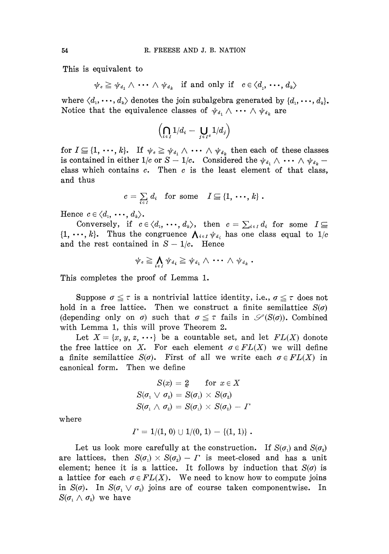This is equivalent to

$$
\psi_c \geq \psi_{d_1} \wedge \cdots \wedge \psi_{d_k} \text{ if and only if } c \in \langle d_1, \cdots, d_k \rangle
$$

where  $\langle d_1, \dots, d_k \rangle$  denotes the join subalgebra generated by  $\{d_1, \dots, d_k\}$ . Notice that the equivalence classes of  $\psi_{d_1} \wedge \cdots \wedge \psi_{d_k}$  are

$$
\left(\bigcap_{i\in I} 1/d_i - \bigcup_{j\in I^c} 1/d_j\right)
$$

 $\text{for } I \subseteq \{1, \dots, k\}.$  If  $\psi_c \geq \psi_{d_1} \wedge \dots \wedge \psi_{d_k}$  then each of these classes is contained in either  $1/c$  or  $S - 1/c$ . Considered the  $\psi_{d_1} \wedge \cdots \wedge \psi_{d_k}$ class which contains *c.* Then *c* is the least element of that class, and thus

$$
c = \sum_{i \in I} d_i \quad \text{for some} \quad I \subseteq \{1, \cdots, k\}.
$$

Hence  $c \in \langle d_1, \dots, d_k \rangle$ .

Conversely, if  $c \in \langle d_1, \cdots, d_k \rangle$ , then  $c = \sum_{i \in I} d_i$  for some  $I \subseteq$  $\{1, \dots, k\}$ . Thus the congruence  $\bigwedge_{i \in I} \psi_{d_i}$  has one class equal to  $1/c$ and the rest contained in  $S - 1/c$ . Hence

$$
\psi_{\textit{c}}\geqq \bigwedge_{i\in I}\psi_{\textit{d}_i}\geqq \psi_{\textit{d}_1}\wedge\ \cdots\ \wedge\ \psi_{\textit{d}_k}\ .
$$

This completes the proof of Lemma 1.

Suppose  $\sigma \leq \tau$  is a nontrivial lattice identity, i.e.,  $\sigma \leq \tau$  does not hold in a free lattice. Then we construct a finite semilattice *S(σ)* (depending only on  $\sigma$ ) such that  $\sigma \leq \tau$  fails in  $\mathscr{S}(S(\sigma))$ . Combined with Lemma 1, this will prove Theorem 2.

Let  $X = \{x, y, z, \cdots\}$  be a countable set, and let  $FL(X)$  donote the free lattice on X. For each element  $\sigma \in FL(X)$  we will define a finite semilattice  $S(\sigma)$ . First of all we write each  $\sigma \in FL(X)$  in canonical form. Then we define

$$
S(x) = 2 \quad \text{ for } x \in X
$$
  
\n
$$
S(\sigma_1 \vee \sigma_2) = S(\sigma_1) \times S(\sigma_2)
$$
  
\n
$$
S(\sigma_1 \wedge \sigma_2) = S(\sigma_1) \times S(\sigma_2) - \Gamma
$$

where

$$
\Gamma = 1/(1, 0) \cup 1/(0, 1) - \{(1, 1)\}.
$$

Let us look more carefully at the construction. If  $S(\sigma_1)$  and  $S(\sigma_2)$ are lattices, then  $S(\sigma_1) \times S(\sigma_2) - \Gamma$  is meet-closed and has a unit element; hence it is a lattice. It follows by induction that *S(σ)* is a lattice for each  $\sigma \in FL(X)$ . We need to know how to compute joins in  $S(\sigma)$ . In  $S(\sigma_1 \vee \sigma_2)$  joins are of course taken componentwise. In *S*( $\sigma$ <sup>1</sup>  $\land$   $\sigma$ <sup>2</sup>) we have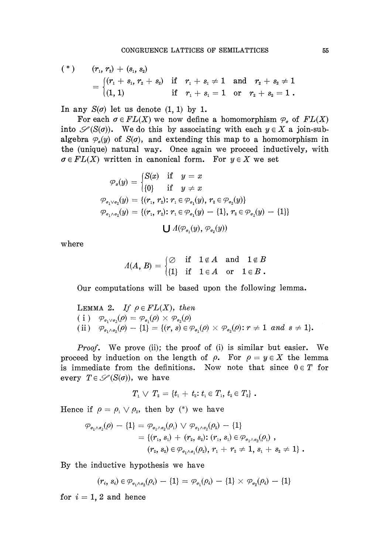$$
\begin{array}{llll} (*) & (r_1, r_2) + (s_1, s_2) \\ & = \begin{cases} (r_1 + s_1, r_2 + s_2) & \text{if} & r_1 + s_1 \neq 1 \quad \text{and} & r_2 + s_2 \neq 1 \\ (1, 1) & \text{if} & r_1 + s_1 = 1 \quad \text{or} & r_2 + s_2 = 1 \end{cases} \end{array}
$$

In any  $S(\sigma)$  let us denote  $(1, 1)$  by 1.

For each  $\sigma \in FL(X)$  we now define a homomorphism  $\varphi_{\sigma}$  of  $FL(X)$ into  $\mathscr{S}(S(\sigma))$ . We do this by associating with each  $y \in X$  a join-subalgebra  $\varphi_q(y)$  of  $S(\sigma)$ , and extending this map to a homomorphism in the (unique) natural way. Once again we proceed inductively, with  $\sigma \in FL(X)$  written in canonical form. For  $y \in X$  we set

$$
\varphi_x(y) = \begin{cases} S(x) & \text{if } y = x \\ \{0\} & \text{if } y \neq x \end{cases}
$$
  

$$
\varphi_{\sigma_1 \vee \sigma_2}(y) = \{ (r_1, r_2) \colon r_1 \in \varphi_{\sigma_1}(y), r_2 \in \varphi_{\sigma_2}(y) \}
$$
  

$$
\varphi_{\sigma_1 \wedge \sigma_2}(y) = \{ (r_1, r_2) \colon r_1 \in \varphi_{\sigma_1}(y) - \{1\}, r_2 \in \varphi_{\sigma_2}(y) - \{1\} \}
$$
  

$$
\bigcup A(\varphi_{\sigma_1}(y), \varphi_{\sigma_2}(y))
$$

where

$$
\varLambda(A,\,B)=\begin{cases}\varnothing &\text{if}\quad 1\not\in A\quad\text{and}\quad 1\not\in B\\ \{1\} &\text{if}\quad 1\in A\quad\text{or}\quad 1\in B\text{ .\end{cases}
$$

Our computations will be based upon the following lemma.

LEMMA 2. If 
$$
\rho \in FL(X)
$$
, then  
\n(i)  $\varphi_{\sigma_1 \vee \sigma_2}(\rho) = \varphi_{\sigma_1}(\rho) \times \varphi_{\sigma_2}(\rho)$   
\n(ii)  $\varphi_{\sigma_1 \wedge \sigma_2}(\rho) - \{1\} = \{(r, s) \in \varphi_{\sigma_1}(\rho) \times \varphi_{\sigma_2}(\rho) : r \neq 1 \text{ and } s \neq 1\}.$ 

*Proof.* We prove (ii); the proof of (i) is similar but easier. We proceed by induction on the length of  $\rho$ . For  $\rho = y \in X$  the lemma is immediate from the definitions. Now note that since  $0 \in T$  for every  $T \in \mathscr{S}(S(\sigma))$ , we have

$$
T_1 \vee T_2 = \{t_1 + t_2 : t_1 \in T_1, t_2 \in T_2\}.
$$

Hence if  $\rho = \rho_1 \vee \rho_2$ , then by (\*) we have

$$
\varphi_{\sigma_1 \wedge \sigma_2}(\rho) - \{1\} = \varphi_{\sigma_1 \wedge \sigma_2}(\rho_1) \vee \varphi_{\sigma_1 \wedge \sigma_2}(\rho_2) - \{1\} \n= \{ (r_1, s_1) + (r_2, s_2) : (r_1, s_1) \in \varphi_{\sigma_1 \wedge \sigma_2}(\rho_1) ,\n(r_2, s_2) \in \varphi_{\sigma_1 \wedge \sigma_1}(\rho_2), r_1 + r_2 \neq 1, s_1 + s_2 \neq 1 \}.
$$

By the inductive hypothesis we have

 $(v_i, s_i) \in \varphi_{\sigma_1 \wedge \sigma_2}(v_i) - \{1\} - \varphi_{\sigma_1}(v_i) - \{1\} \wedge \varphi_{\sigma_2}(v_i) - \{1\}$ 

for  $i = 1, 2$  and hence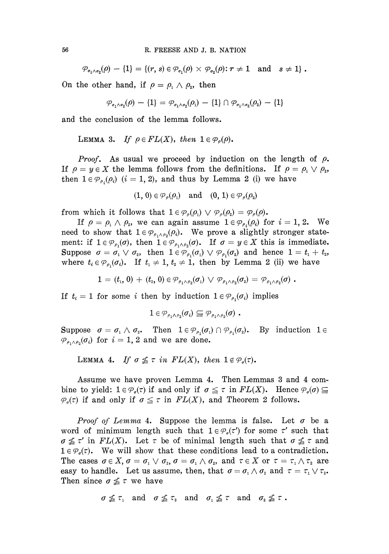$\mathcal{P}_{\sigma_1 \wedge \sigma_2}(0) - \{1\} = \{(r, s) \in \mathcal{P}_{\sigma_1}(0) \times \mathcal{P}_{\sigma_2}(0): r \neq 1 \text{ and } s \neq 1\}$ .

On the other hand, if  $\rho = \rho_1 \wedge \rho_2$ , then

$$
\varphi_{\sigma_1\wedge\sigma_2}(\rho) - \{1\} = \varphi_{\sigma_1\wedge\sigma_2}(\rho_1) - \{1\} \cap \varphi_{\sigma_1\wedge\sigma_2}(\rho_2) - \{1\}
$$

and the conclusion of the lemma follows.

LEMMA 3. If 
$$
\rho \in FL(X)
$$
, then  $1 \in \mathcal{P}_{\rho}(\rho)$ .

*Proof.* As usual we proceed by induction on the length of *p.* If  $\rho = y \in X$  the lemma follows from the definitions. If  $\rho = \rho_1 \vee \rho_2$ , then  $1 \in \mathcal{P}_{\rho_i}(\rho_i)$   $(i = 1, 2)$ , and thus by Lemma 2 (i) we have

$$
(1, 0) \in \mathcal{P}_{\rho}(\rho_1) \quad \text{and} \quad (0, 1) \in \mathcal{P}_{\rho}(\rho_2)
$$

from which it follows that  $1 \in \mathcal{P}_\rho(\rho_1) \vee \mathcal{P}_\rho(\rho_2) = \mathcal{P}_\rho(\rho)$ .

*lf*  $\rho = \rho_1 \wedge \rho_2$ , we can again assume  $1 \in \mathcal{P}_{\rho_i}(\rho_i)$  for  $i = 1, 2$ . We need to show that  $1 \in \mathcal{P}_{\rho_1 \wedge \rho_2}(\rho_i)$ . We prove a slightly stronger statement: if  $1 \in \mathcal{P}_{\rho_1}(\sigma)$ , then  $1 \in \mathcal{P}_{\rho_1 \wedge \rho_2}(\sigma)$ . If  $\sigma = y \in X$  this is immediate.  $\text{Suppose} \;\; \sigma = \sigma_{1} \vee \sigma_{2}, \;\; \text{then} \;\; 1 \in \varphi_{\rho_{1}}(\sigma_{1}) \vee \varphi_{\rho_{1}}(\sigma_{2}) \;\; \text{and} \;\; \text{hence} \;\; 1 = t_{1} + t_{2},$ where  $t_i \in \mathcal{P}_{\rho_1}(\sigma_i)$ . If  $t_1 \neq 1$ ,  $t_2 \neq 1$ , then by Lemma 2 (ii) we have

$$
1=(t_{\scriptscriptstyle 1},0)+(t_{\scriptscriptstyle 2},0)\in {\mathcal P}_{\rho_1\wedge\rho_2}(\sigma_{\scriptscriptstyle 1})\,\vee\,{\mathcal P}_{\rho_1\wedge\rho_2}(\sigma_{\scriptscriptstyle 2})={\mathcal P}_{\rho_1\wedge\rho_2}(\sigma)\,\,.
$$

If  $t_i = 1$  for some *i* then by induction  $1 \in \mathcal{P}_{\rho_i}(\sigma_i)$  implies

$$
1\in \mathcal{P}_{\rho_1\wedge\rho_2}(\sigma_i)\subseteq \mathcal{P}_{\rho_1\wedge\rho_2}(\sigma)\enspace.
$$

 $\text{Suppose} \quad \sigma = \sigma_1 \wedge \sigma_2.$  Then  $1 \in \mathcal{P}_{\rho_1}(\sigma_1) \cap \mathcal{P}_{\rho_1}(\sigma_2).$  By induction  $1 \in$  $\varphi_{\scriptscriptstyle \rho_1\wedge\rho_2}(\sigma_i)$  for  $i=1,2$  and we are done.

LEMMA 4. If  $\sigma \leq \tau$  in  $FL(X)$ , then  $1 \notin \mathcal{P}_q(\tau)$ .

Assume we have proven Lemma 4. Then Lemmas 3 and 4 com bine to yield:  $1 \in \mathcal{P}_\sigma(\tau)$  if and only if  $\sigma \leq \tau$  in  $FL(X)$ . Hence  $\mathcal{P}_\sigma(\sigma) \subseteq$  $\mathcal{P}_{{\sigma}}(\tau)$  if and only if  $\sigma \leq \tau$  in  $FL(X)$ , and Theorem 2 follows.

*Proof of Lemma* 4. Suppose the lemma is false. Let *σ* be a word of minimum length such that  $1 \in \mathcal{P}_o(\tau')$  for some  $\tau'$  such that  $\sigma \nleq \tau'$  in  $FL(X)$ . Let  $\tau$  be of minimal length such that  $\sigma \nleq \tau$  and  $1 \in \mathcal{P}_\sigma(\tau)$ . We will show that these conditions lead to a contradiction. The cases  $\sigma \in X$ ,  $\sigma = \sigma_1 \vee \sigma_2$ ,  $\sigma = \sigma_1 \wedge \sigma_2$ , and  $\tau \in X$  or  $\tau = \tau_1 \wedge \tau_2$  are easy to handle. Let us assume, then, that  $\sigma = \sigma_1 \wedge \sigma_2$  and  $\tau = \tau_1 \vee \tau_2$ Then since  $\sigma \nleq \tau$  we have

$$
\sigma \nleq \tau_1 \quad \text{and} \quad \sigma \nleq \tau_2 \quad \text{and} \quad \sigma_1 \nleq \tau \quad \text{and} \quad \sigma_2 \nleq \tau.
$$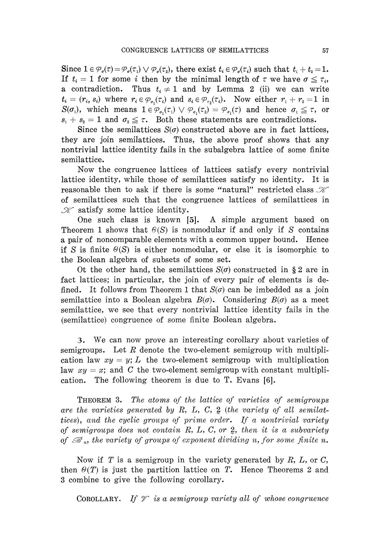Since  $1 \in \mathcal{P}_o(\tau) = \mathcal{P}_o(\tau_1) \vee \mathcal{P}_o(\tau_2)$ , there exist  $t_i \in \mathcal{P}_o(\tau_i)$  such that  $t_1 + t_2 = 1$ . If  $t_i = 1$  for some *i* then by the minimal length of  $\tau$  we have  $\sigma \leq \tau_i$ , a contradiction. Thus  $t_i \neq 1$  and by Lemma 2 (ii) we can write  $t_i = (r_i, s_i)$  where  $r_i \in \varphi_{\sigma_1}(\tau_i)$  and  $s_i \in \varphi_{\tau_2}(\tau_i)$ . Now either  $r_1 + r_2 = 1$  in  $S(\sigma_1)$ , which means  $1 \in \mathcal{P}_{\sigma_1}(\tau_1) \vee \mathcal{P}_{\sigma_1}(\tau_2) = \mathcal{P}_{\sigma_1}(\tau)$  and hence  $\sigma_1 \leq \tau$ , or  $s_1 + s_2 = 1$  and  $\sigma_2 \leq \tau$ . Both these statements are contradictions.

Since the semilattices  $S(\sigma)$  constructed above are in fact lattices, they are join semilattices. Thus, the above proof shows that any nontrivial lattice identity fails in the subalgebra lattice of some finite semilattice.

Now the congruence lattices of lattices satisfy every nontrivial lattice identity, while those of semilattices satisfy no identity. It is reasonable then to ask if there is some "natural" restricted class  $\mathcal X$ of semilattices such that the congruence lattices of semilattices in  $\mathscr K$  satisfy some lattice identity.

One such class is known [5]. A simple argument based on Theorem 1 shows that *Θ(S)* is nonmodular if and only if *S* contains a pair of noncomparable elements with a common upper bound. Hence if *S* is finite *Θ(S)* is either nonmodular, or else it is isomorphic to the Boolean algebra of subsets of some set.

Ot the other hand, the semilattices *S(σ)* constructed in § 2 are in fact lattices; in particular, the join of every pair of elements is de fined. It follows from Theorem 1 that *S(σ)* can be imbedded as a join semilattice into a Boolean algebra *B(σ).* Considering *B(σ)* as a meet semilattice, we see that every nontrivial lattice identity fails in the (semilattice) congruence of some finite Boolean algebra.

3. We can now prove an interesting corollary about varieties of semigroups. Let *R* denote the two-element semigroup with multipli cation law  $xy = y$ ; L the two-element semigroup with multiplication law  $xy = x$ ; and C the two-element semigroup with constant multiplication. The following theorem is due to T. Evans [6].

THEOREM 3. *The atoms of the lattice of varieties of semigroups are the varieties generated by R, L,* C, 2 *(the variety of all semilattices), and the cyclic groups of prime order. If a nontrivial variety of semigroups does not contain R, L,* C, *or* 2, *then it is a subvariety of &<sup>n</sup> , the variety of groups of exponent dividing n, for some finite n.*

Now if *T* is a semigroup in the variety generated by *R, L,* or C, then  $\Theta(T)$  is just the partition lattice on T. Hence Theorems 2 and 3 combine to give the following corollary.

COROLLARY. If  $\mathscr V$  is a semigroup variety all of whose congruence